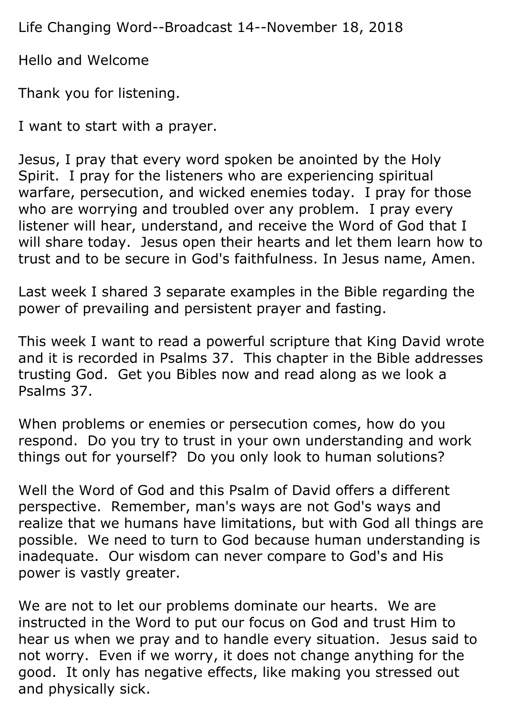Life Changing Word--Broadcast 14--November 18, 2018

Hello and Welcome

Thank you for listening.

I want to start with a prayer.

Jesus, I pray that every word spoken be anointed by the Holy Spirit. I pray for the listeners who are experiencing spiritual warfare, persecution, and wicked enemies today. I pray for those who are worrying and troubled over any problem. I pray every listener will hear, understand, and receive the Word of God that I will share today. Jesus open their hearts and let them learn how to trust and to be secure in God's faithfulness. In Jesus name, Amen.

Last week I shared 3 separate examples in the Bible regarding the power of prevailing and persistent prayer and fasting.

This week I want to read a powerful scripture that King David wrote and it is recorded in Psalms 37. This chapter in the Bible addresses trusting God. Get you Bibles now and read along as we look a Psalms 37.

When problems or enemies or persecution comes, how do you respond. Do you try to trust in your own understanding and work things out for yourself? Do you only look to human solutions?

Well the Word of God and this Psalm of David offers a different perspective. Remember, man's ways are not God's ways and realize that we humans have limitations, but with God all things are possible. We need to turn to God because human understanding is inadequate. Our wisdom can never compare to God's and His power is vastly greater.

We are not to let our problems dominate our hearts. We are instructed in the Word to put our focus on God and trust Him to hear us when we pray and to handle every situation. Jesus said to not worry. Even if we worry, it does not change anything for the good. It only has negative effects, like making you stressed out and physically sick.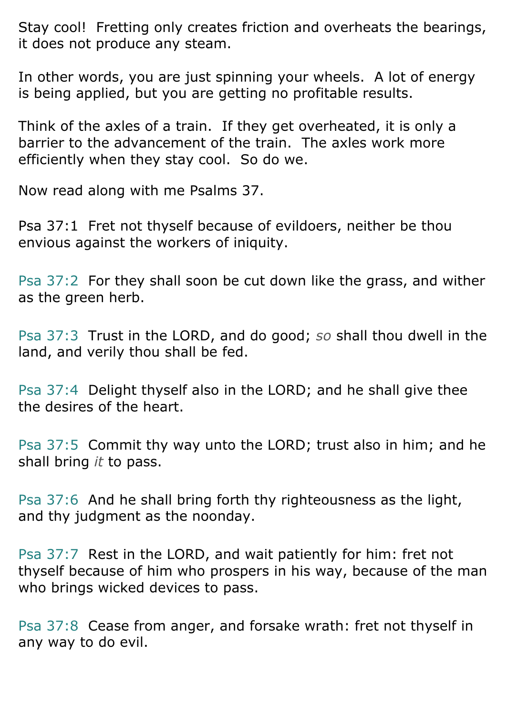Stay cool! Fretting only creates friction and overheats the bearings, it does not produce any steam.

In other words, you are just spinning your wheels. A lot of energy is being applied, but you are getting no profitable results.

Think of the axles of a train. If they get overheated, it is only a barrier to the advancement of the train. The axles work more efficiently when they stay cool. So do we.

Now read along with me Psalms 37.

Psa 37:1 Fret not thyself because of evildoers, neither be thou envious against the workers of iniquity.

Psa 37:2 For they shall soon be cut down like the grass, and wither as the green herb.

Psa 37:3 Trust in the LORD, and do good; *so* shall thou dwell in the land, and verily thou shall be fed.

Psa 37:4 Delight thyself also in the LORD; and he shall give thee the desires of the heart.

Psa 37:5 Commit thy way unto the LORD; trust also in him; and he shall bring *it* to pass.

Psa 37:6 And he shall bring forth thy righteousness as the light, and thy judgment as the noonday.

Psa 37:7 Rest in the LORD, and wait patiently for him: fret not thyself because of him who prospers in his way, because of the man who brings wicked devices to pass.

Psa 37:8 Cease from anger, and forsake wrath: fret not thyself in any way to do evil.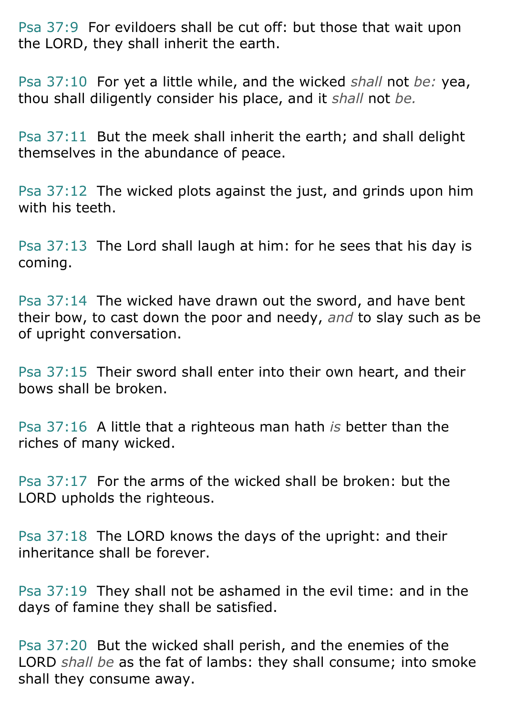Psa 37:9 For evildoers shall be cut off: but those that wait upon the LORD, they shall inherit the earth.

Psa 37:10 For yet a little while, and the wicked *shall* not *be:* yea, thou shall diligently consider his place, and it *shall* not *be.*

Psa 37:11 But the meek shall inherit the earth; and shall delight themselves in the abundance of peace.

Psa 37:12 The wicked plots against the just, and grinds upon him with his teeth.

Psa 37:13 The Lord shall laugh at him: for he sees that his day is coming.

Psa 37:14 The wicked have drawn out the sword, and have bent their bow, to cast down the poor and needy, *and* to slay such as be of upright conversation.

Psa 37:15 Their sword shall enter into their own heart, and their bows shall be broken.

Psa 37:16 A little that a righteous man hath *is* better than the riches of many wicked.

Psa 37:17 For the arms of the wicked shall be broken: but the LORD upholds the righteous.

Psa 37:18 The LORD knows the days of the upright: and their inheritance shall be forever.

Psa 37:19 They shall not be ashamed in the evil time: and in the days of famine they shall be satisfied.

Psa 37:20 But the wicked shall perish, and the enemies of the LORD *shall be* as the fat of lambs: they shall consume; into smoke shall they consume away.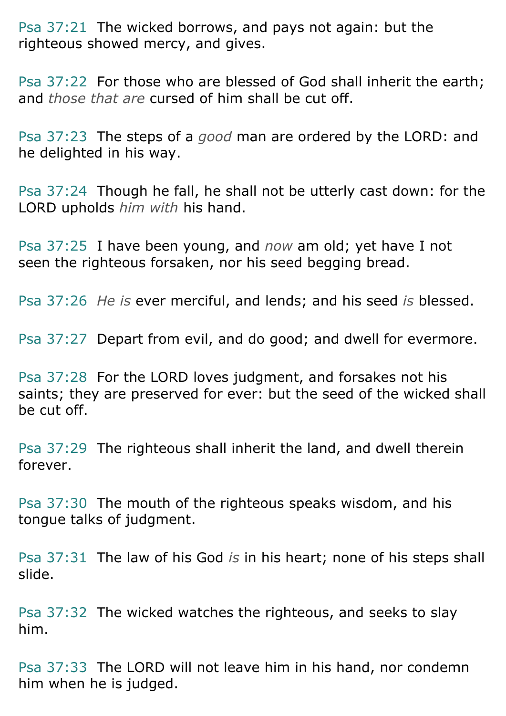Psa 37:21 The wicked borrows, and pays not again: but the righteous showed mercy, and gives.

Psa 37:22 For those who are blessed of God shall inherit the earth; and *those that are* cursed of him shall be cut off.

Psa 37:23 The steps of a *good* man are ordered by the LORD: and he delighted in his way.

Psa 37:24 Though he fall, he shall not be utterly cast down: for the LORD upholds *him with* his hand.

Psa 37:25 I have been young, and *now* am old; yet have I not seen the righteous forsaken, nor his seed begging bread.

Psa 37:26 *He is* ever merciful, and lends; and his seed *is* blessed.

Psa 37:27 Depart from evil, and do good; and dwell for evermore.

Psa 37:28 For the LORD loves judgment, and forsakes not his saints; they are preserved for ever: but the seed of the wicked shall be cut off.

Psa 37:29 The righteous shall inherit the land, and dwell therein forever.

Psa 37:30 The mouth of the righteous speaks wisdom, and his tongue talks of judgment.

Psa 37:31 The law of his God *is* in his heart; none of his steps shall slide.

Psa 37:32 The wicked watches the righteous, and seeks to slay him.

Psa 37:33 The LORD will not leave him in his hand, nor condemn him when he is judged.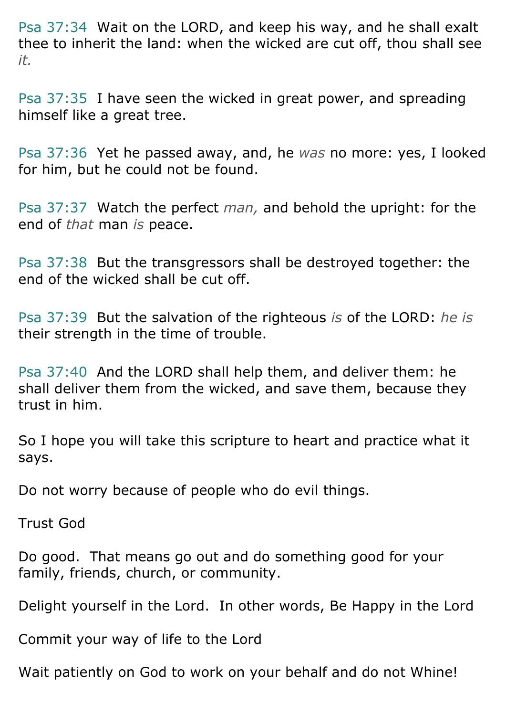Psa 37:34 Wait on the LORD, and keep his way, and he shall exalt thee to inherit the land: when the wicked are cut off, thou shall see *it.*

Psa 37:35 I have seen the wicked in great power, and spreading himself like a great tree.

Psa 37:36 Yet he passed away, and, he *was* no more: yes, I looked for him, but he could not be found.

Psa 37:37 Watch the perfect *man,* and behold the upright: for the end of *that* man *is* peace.

Psa 37:38 But the transgressors shall be destroyed together: the end of the wicked shall be cut off.

Psa 37:39 But the salvation of the righteous *is* of the LORD: *he is* their strength in the time of trouble.

Psa 37:40 And the LORD shall help them, and deliver them: he shall deliver them from the wicked, and save them, because they trust in him.

So I hope you will take this scripture to heart and practice what it says.

Do not worry because of people who do evil things.

Trust God

Do good. That means go out and do something good for your family, friends, church, or community.

Delight yourself in the Lord. In other words, Be Happy in the Lord

Commit your way of life to the Lord

Wait patiently on God to work on your behalf and do not Whine!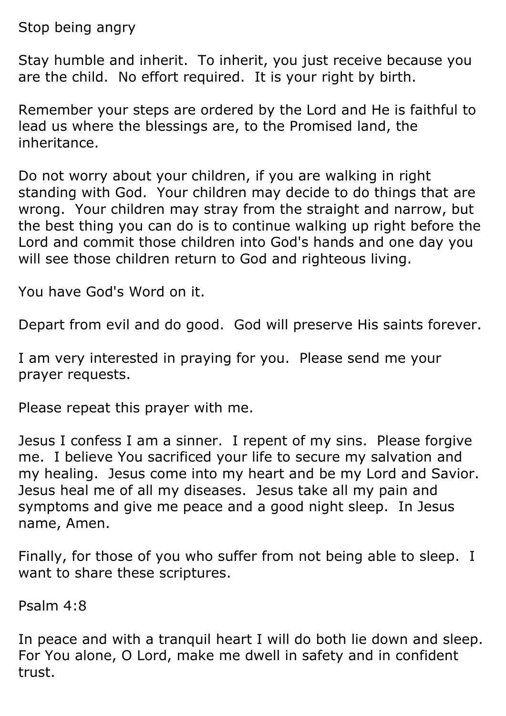Stop being angry

Stay humble and inherit. To inherit, you just receive because you are the child. No effort required. It is your right by birth.

Remember your steps are ordered by the Lord and He is faithful to lead us where the blessings are, to the Promised land, the inheritance.

Do not worry about your children, if you are walking in right standing with God. Your children may decide to do things that are wrong. Your children may stray from the straight and narrow, but the best thing you can do is to continue walking up right before the Lord and commit those children into God's hands and one day you will see those children return to God and righteous living.

You have God's Word on it.

Depart from evil and do good. God will preserve His saints forever.

I am very interested in praying for you. Please send me your prayer requests.

Please repeat this prayer with me.

Jesus I confess I am a sinner. I repent of my sins. Please forgive me. I believe You sacrificed your life to secure my salvation and my healing. Jesus come into my heart and be my Lord and Savior. Jesus heal me of all my diseases. Jesus take all my pain and symptoms and give me peace and a good night sleep. In Jesus name, Amen.

Finally, for those of you who suffer from not being able to sleep. I want to share these scriptures.

Psalm 4:8

In peace and with a tranquil heart I will do both lie down and sleep. For You alone, O Lord, make me dwell in safety and in confident trust.